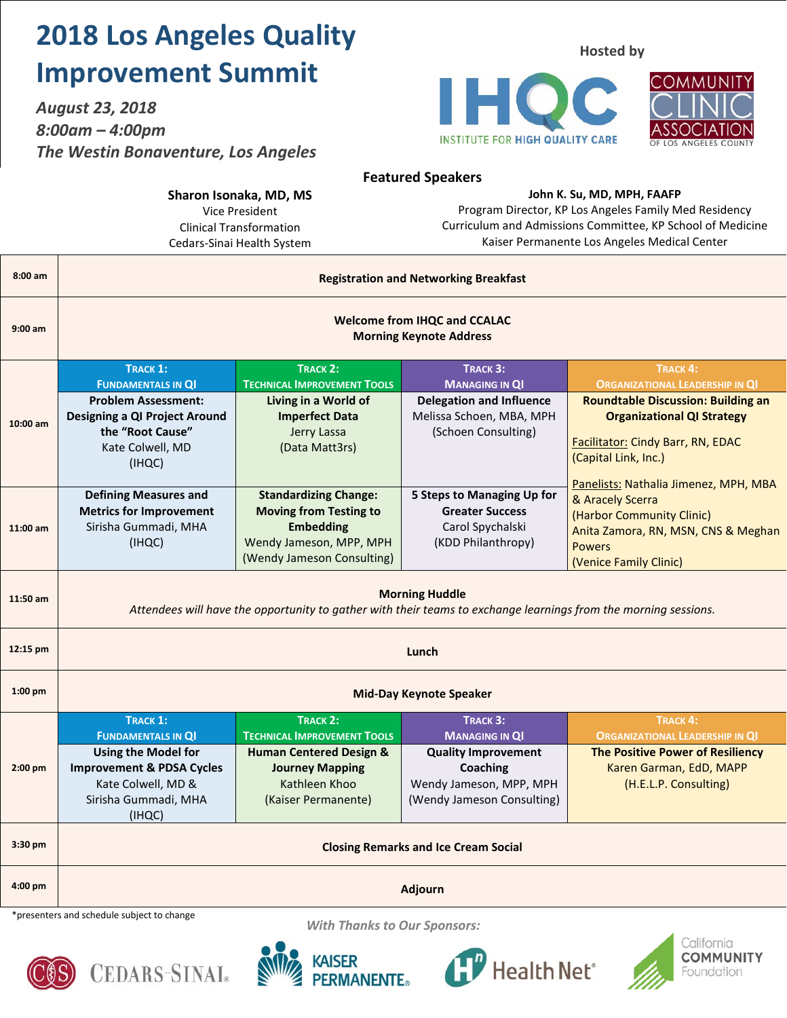## **2018 Los Angeles Quality Improvement Summit**

*August 23, 2018 8:00am – 4:00pm The Westin Bonaventure, Los Angeles* **Hosted by**





**Featured Speakers**

#### **Sharon Isonaka, MD, MS**

Vice President Clinical Transformation Cedars-Sinai Health System

#### **John K. Su, MD, MPH, FAAFP**

Program Director, KP Los Angeles Family Med Residency Curriculum and Admissions Committee, KP School of Medicine Kaiser Permanente Los Angeles Medical Center

| $8:00$ am                                                                         | <b>Registration and Networking Breakfast</b>                                                                                             |                                                                                                                                            |                                                                                                        |                                                                                                                                                                          |
|-----------------------------------------------------------------------------------|------------------------------------------------------------------------------------------------------------------------------------------|--------------------------------------------------------------------------------------------------------------------------------------------|--------------------------------------------------------------------------------------------------------|--------------------------------------------------------------------------------------------------------------------------------------------------------------------------|
| $9:00$ am                                                                         | <b>Welcome from IHQC and CCALAC</b><br><b>Morning Keynote Address</b>                                                                    |                                                                                                                                            |                                                                                                        |                                                                                                                                                                          |
| 10:00 am                                                                          | <b>TRACK 1:</b><br><b>FUNDAMENTALS IN QI</b><br><b>Problem Assessment:</b>                                                               | <b>TRACK 2:</b><br><b>TECHNICAL IMPROVEMENT TOOLS</b><br>Living in a World of                                                              | TRACK 3:<br><b>MANAGING IN QI</b><br><b>Delegation and Influence</b>                                   | <b>TRACK 4:</b><br><b>ORGANIZATIONAL LEADERSHIP IN QI</b><br><b>Roundtable Discussion: Building an</b>                                                                   |
|                                                                                   | Designing a QI Project Around<br>the "Root Cause"<br>Kate Colwell, MD<br>(IHQC)                                                          | <b>Imperfect Data</b><br>Jerry Lassa<br>(Data Matt3rs)                                                                                     | Melissa Schoen, MBA, MPH<br>(Schoen Consulting)                                                        | <b>Organizational QI Strategy</b><br>Facilitator: Cindy Barr, RN, EDAC<br>(Capital Link, Inc.)                                                                           |
| 11:00 am                                                                          | <b>Defining Measures and</b><br><b>Metrics for Improvement</b><br>Sirisha Gummadi, MHA<br>(IHQC)                                         | <b>Standardizing Change:</b><br><b>Moving from Testing to</b><br><b>Embedding</b><br>Wendy Jameson, MPP, MPH<br>(Wendy Jameson Consulting) | 5 Steps to Managing Up for<br><b>Greater Success</b><br>Carol Spychalski<br>(KDD Philanthropy)         | Panelists: Nathalia Jimenez, MPH, MBA<br>& Aracely Scerra<br>(Harbor Community Clinic)<br>Anita Zamora, RN, MSN, CNS & Meghan<br><b>Powers</b><br>(Venice Family Clinic) |
| 11:50 am                                                                          | <b>Morning Huddle</b><br>Attendees will have the opportunity to gather with their teams to exchange learnings from the morning sessions. |                                                                                                                                            |                                                                                                        |                                                                                                                                                                          |
| 12:15 pm                                                                          | Lunch                                                                                                                                    |                                                                                                                                            |                                                                                                        |                                                                                                                                                                          |
| 1:00 pm                                                                           | <b>Mid-Day Keynote Speaker</b>                                                                                                           |                                                                                                                                            |                                                                                                        |                                                                                                                                                                          |
| 2:00 pm                                                                           | <b>TRACK 1:</b><br><b>FUNDAMENTALS IN QI</b>                                                                                             | <b>TRACK 2:</b><br><b>TECHNICAL IMPROVEMENT TOOLS</b>                                                                                      | TRACK 3:<br><b>MANAGING IN QI</b>                                                                      | <b>TRACK 4:</b><br><b>ORGANIZATIONAL LEADERSHIP IN QI</b>                                                                                                                |
|                                                                                   | <b>Using the Model for</b><br><b>Improvement &amp; PDSA Cycles</b><br>Kate Colwell, MD &<br>Sirisha Gummadi, MHA<br>(IHQC)               | <b>Human Centered Design &amp;</b><br><b>Journey Mapping</b><br>Kathleen Khoo<br>(Kaiser Permanente)                                       | <b>Quality Improvement</b><br><b>Coaching</b><br>Wendy Jameson, MPP, MPH<br>(Wendy Jameson Consulting) | <b>The Positive Power of Resiliency</b><br>Karen Garman, EdD, MAPP<br>(H.E.L.P. Consulting)                                                                              |
| 3:30 pm                                                                           | <b>Closing Remarks and Ice Cream Social</b>                                                                                              |                                                                                                                                            |                                                                                                        |                                                                                                                                                                          |
| 4:00 pm                                                                           | Adjourn                                                                                                                                  |                                                                                                                                            |                                                                                                        |                                                                                                                                                                          |
| *presenters and schedule subject to change<br><b>With Thanks to Our Sponsors:</b> |                                                                                                                                          |                                                                                                                                            |                                                                                                        |                                                                                                                                                                          |









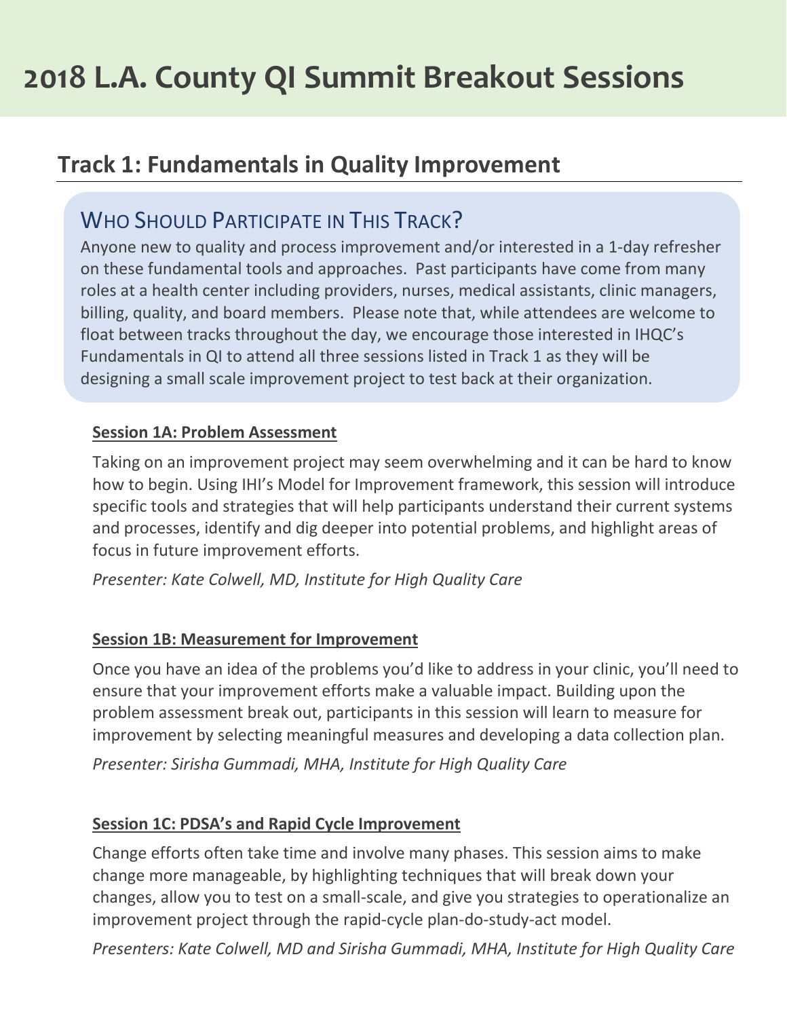## **Track 1: Fundamentals in Quality Improvement**

### WHO SHOULD PARTICIPATE IN THIS TRACK?

Anyone new to quality and process improvement and/or interested in a 1-day refresher on these fundamental tools and approaches. Past participants have come from many roles at a health center including providers, nurses, medical assistants, clinic managers, billing, quality, and board members. Please note that, while attendees are welcome to float between tracks throughout the day, we encourage those interested in IHQC's Fundamentals in QI to attend all three sessions listed in Track 1 as they will be designing a small scale improvement project to test back at their organization.

#### **Session 1A: Problem Assessment**

Taking on an improvement project may seem overwhelming and it can be hard to know how to begin. Using IHI's Model for Improvement framework, this session will introduce specific tools and strategies that will help participants understand their current systems and processes, identify and dig deeper into potential problems, and highlight areas of focus in future improvement efforts.

*Presenter: Kate Colwell, MD, Institute for High Quality Care*

#### **Session 1B: Measurement for Improvement**

Once you have an idea of the problems you'd like to address in your clinic, you'll need to ensure that your improvement efforts make a valuable impact. Building upon the problem assessment break out, participants in this session will learn to measure for improvement by selecting meaningful measures and developing a data collection plan.

*Presenter: Sirisha Gummadi, MHA, Institute for High Quality Care*

#### **Session 1C: PDSA's and Rapid Cycle Improvement**

Change efforts often take time and involve many phases. This session aims to make change more manageable, by highlighting techniques that will break down your changes, allow you to test on a small-scale, and give you strategies to operationalize an improvement project through the rapid-cycle plan-do-study-act model.

*Presenters: Kate Colwell, MD and Sirisha Gummadi, MHA, Institute for High Quality Care*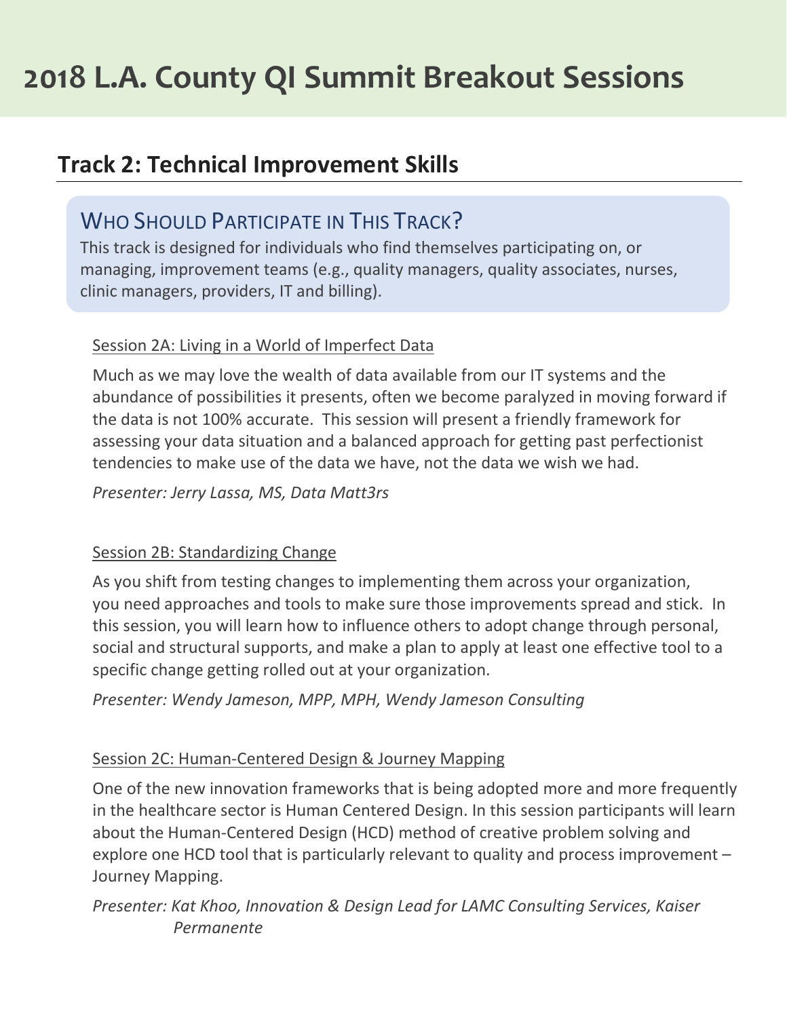## **Track 2: Technical Improvement Skills**

### WHO SHOULD PARTICIPATE IN THIS TRACK?

This track is designed for individuals who find themselves participating on, or managing, improvement teams (e.g., quality managers, quality associates, nurses, clinic managers, providers, IT and billing).

### Session 2A: Living in a World of Imperfect Data

Much as we may love the wealth of data available from our IT systems and the abundance of possibilities it presents, often we become paralyzed in moving forward if the data is not 100% accurate. This session will present a friendly framework for assessing your data situation and a balanced approach for getting past perfectionist tendencies to make use of the data we have, not the data we wish we had.

*Presenter: Jerry Lassa, MS, Data Matt3rs*

#### Session 2B: Standardizing Change

As you shift from testing changes to implementing them across your organization, you need approaches and tools to make sure those improvements spread and stick. In this session, you will learn how to influence others to adopt change through personal, social and structural supports, and make a plan to apply at least one effective tool to a specific change getting rolled out at your organization.

*Presenter: Wendy Jameson, MPP, MPH, Wendy Jameson Consulting*

#### Session 2C: Human-Centered Design & Journey Mapping

One of the new innovation frameworks that is being adopted more and more frequently in the healthcare sector is Human Centered Design. In this session participants will learn about the Human-Centered Design (HCD) method of creative problem solving and explore one HCD tool that is particularly relevant to quality and process improvement – Journey Mapping.

*Presenter: Kat Khoo, Innovation & Design Lead for LAMC Consulting Services, Kaiser Permanente*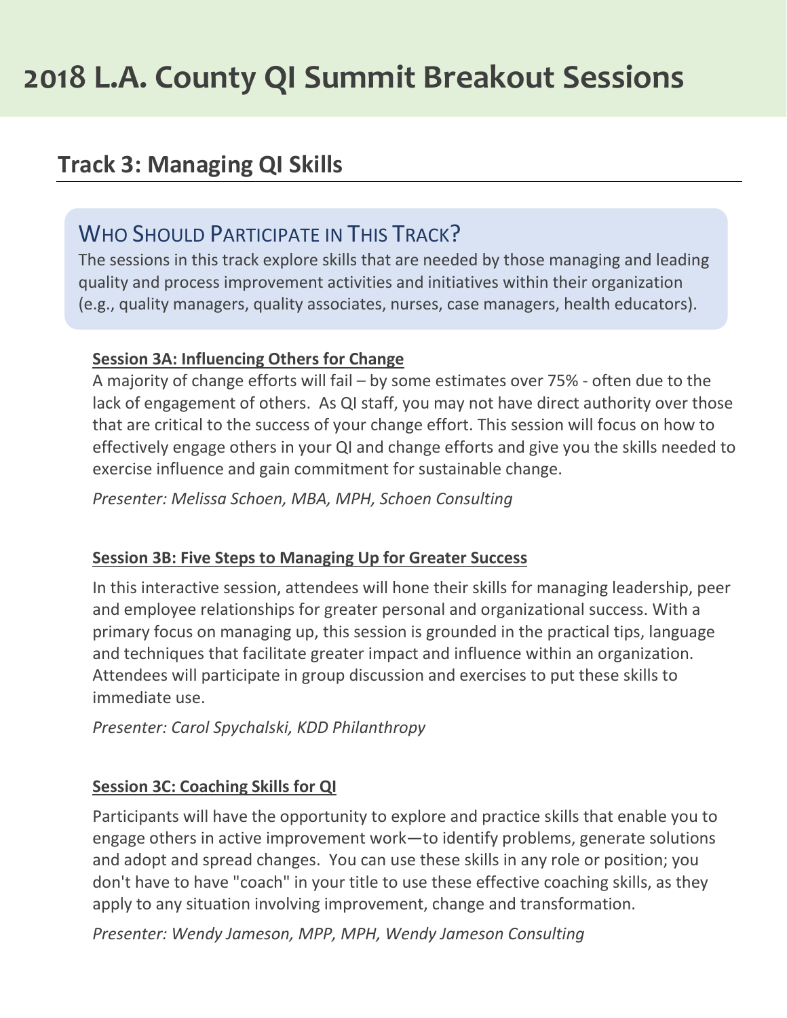## **Track 3: Managing QI Skills**

## WHO SHOULD PARTICIPATE IN THIS TRACK?

The sessions in this track explore skills that are needed by those managing and leading quality and process improvement activities and initiatives within their organization (e.g., quality managers, quality associates, nurses, case managers, health educators).

#### **Session 3A: Influencing Others for Change**

A majority of change efforts will fail – by some estimates over 75% - often due to the lack of engagement of others. As QI staff, you may not have direct authority over those that are critical to the success of your change effort. This session will focus on how to effectively engage others in your QI and change efforts and give you the skills needed to exercise influence and gain commitment for sustainable change.

*Presenter: Melissa Schoen, MBA, MPH, Schoen Consulting*

#### **Session 3B: Five Steps to Managing Up for Greater Success**

In this interactive session, attendees will hone their skills for managing leadership, peer and employee relationships for greater personal and organizational success. With a primary focus on managing up, this session is grounded in the practical tips, language and techniques that facilitate greater impact and influence within an organization. Attendees will participate in group discussion and exercises to put these skills to immediate use.

*Presenter: Carol Spychalski, KDD Philanthropy*

#### **Session 3C: Coaching Skills for QI**

Participants will have the opportunity to explore and practice skills that enable you to engage others in active improvement work—to identify problems, generate solutions and adopt and spread changes. You can use these skills in any role or position; you don't have to have "coach" in your title to use these effective coaching skills, as they apply to any situation involving improvement, change and transformation.

*Presenter: Wendy Jameson, MPP, MPH, Wendy Jameson Consulting*